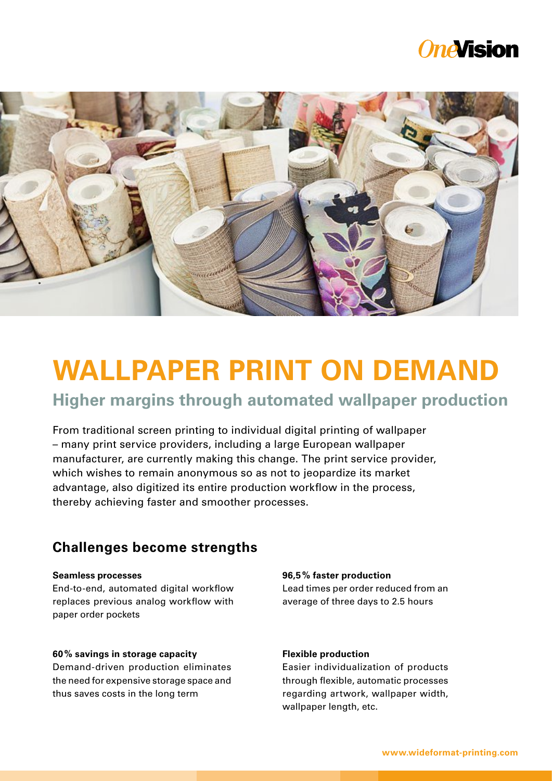## *OneVision*



# **WALLPAPER PRINT ON DEMAND**

## **Higher margins through automated wallpaper production**

From traditional screen printing to individual digital printing of wallpaper – many print service providers, including a large European wallpaper manufacturer, are currently making this change. The print service provider, which wishes to remain anonymous so as not to jeopardize its market advantage, also digitized its entire production workflow in the process, thereby achieving faster and smoother processes.

## **Challenges become strengths**

#### **Seamless processes**

End-to-end, automated digital workflow replaces previous analog workflow with paper order pockets

## **60% savings in storage capacity**

Demand-driven production eliminates the need for expensive storage space and thus saves costs in the long term

#### **96,5% faster production**

Lead times per order reduced from an average of three days to 2.5 hours

## **Flexible production**

Easier individualization of products through flexible, automatic processes regarding artwork, wallpaper width, wallpaper length, etc.